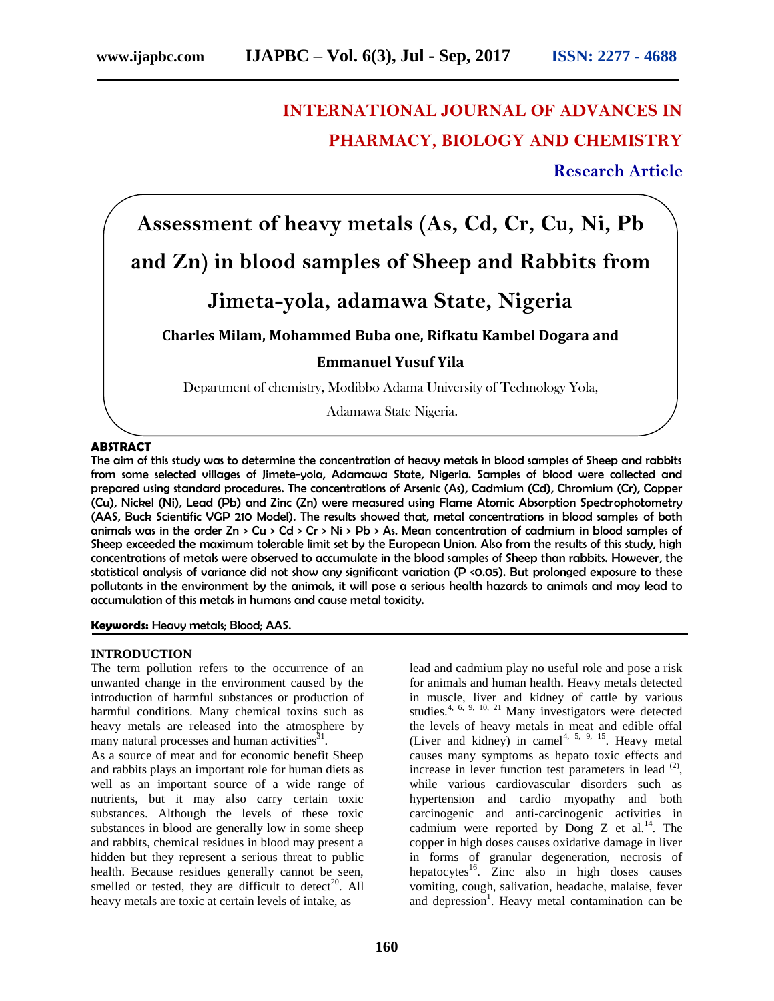# **INTERNATIONAL JOURNAL OF ADVANCES IN PHARMACY, BIOLOGY AND CHEMISTRY**

**Research Article**

**Assessment of heavy metals (As, Cd, Cr, Cu, Ni, Pb and Zn) in blood samples of Sheep and Rabbits from Jimeta-yola, adamawa State, Nigeria Charles Milam, Mohammed Buba one, Rifkatu Kambel Dogara and Emmanuel Yusuf Yila** Department of chemistry, Modibbo Adama University of Technology Yola,

Adamawa State Nigeria.

#### **ABSTRACT**

The aim of this study was to determine the concentration of heavy metals in blood samples of Sheep and rabbits from some selected villages of Jimete-yola, Adamawa State, Nigeria. Samples of blood were collected and prepared using standard procedures. The concentrations of Arsenic (As), Cadmium (Cd), Chromium (Cr), Copper (Cu), Nickel (Ni), Lead (Pb) and Zinc (Zn) were measured using Flame Atomic Absorption Spectrophotometry (AAS, Buck Scientific VGP 210 Model). The results showed that, metal concentrations in blood samples of both animals was in the order  $Zn > Cu > Cd > Cr > Ni > Pb > As$ . Mean concentration of cadmium in blood samples of Sheep exceeded the maximum tolerable limit set by the European Union. Also from the results of this study, high concentrations of metals were observed to accumulate in the blood samples of Sheep than rabbits. However, the statistical analysis of variance did not show any significant variation (P <0.05). But prolonged exposure to these pollutants in the environment by the animals, it will pose a serious health hazards to animals and may lead to accumulation of this metals in humans and cause metal toxicity.

**Keywords:** Heavy metals; Blood; AAS.

#### **INTRODUCTION**

The term pollution refers to the occurrence of an unwanted change in the environment caused by the introduction of harmful substances or production of harmful conditions. Many chemical toxins such as heavy metals are released into the atmosphere by many natural processes and human activities $^{31}$ .

As a source of meat and for economic benefit Sheep and rabbits plays an important role for human diets as well as an important source of a wide range of nutrients, but it may also carry certain toxic substances. Although the levels of these toxic substances in blood are generally low in some sheep and rabbits, chemical residues in blood may present a hidden but they represent a serious threat to public health. Because residues generally cannot be seen, smelled or tested, they are difficult to detect<sup>20</sup>. All heavy metals are toxic at certain levels of intake, as

lead and cadmium play no useful role and pose a risk for animals and human health. Heavy metals detected in muscle, liver and kidney of cattle by various studies.<sup>4, 6, 9, 10, 21</sup> Many investigators were detected the levels of heavy metals in meat and edible offal (Liver and kidney) in camel<sup>4, 5, 9, 15</sup>. Heavy metal causes many symptoms as hepato toxic effects and increase in lever function test parameters in lead  $^{(2)}$ , while various cardiovascular disorders such as hypertension and cardio myopathy and both carcinogenic and anti-carcinogenic activities in cadmium were reported by Dong  $Z$  et al.<sup>14</sup>. The copper in high doses causes oxidative damage in liver in forms of granular degeneration, necrosis of hepatocytes<sup>16</sup>. Zinc also in high doses causes vomiting, cough, salivation, headache, malaise, fever and depression<sup>1</sup>. Heavy metal contamination can be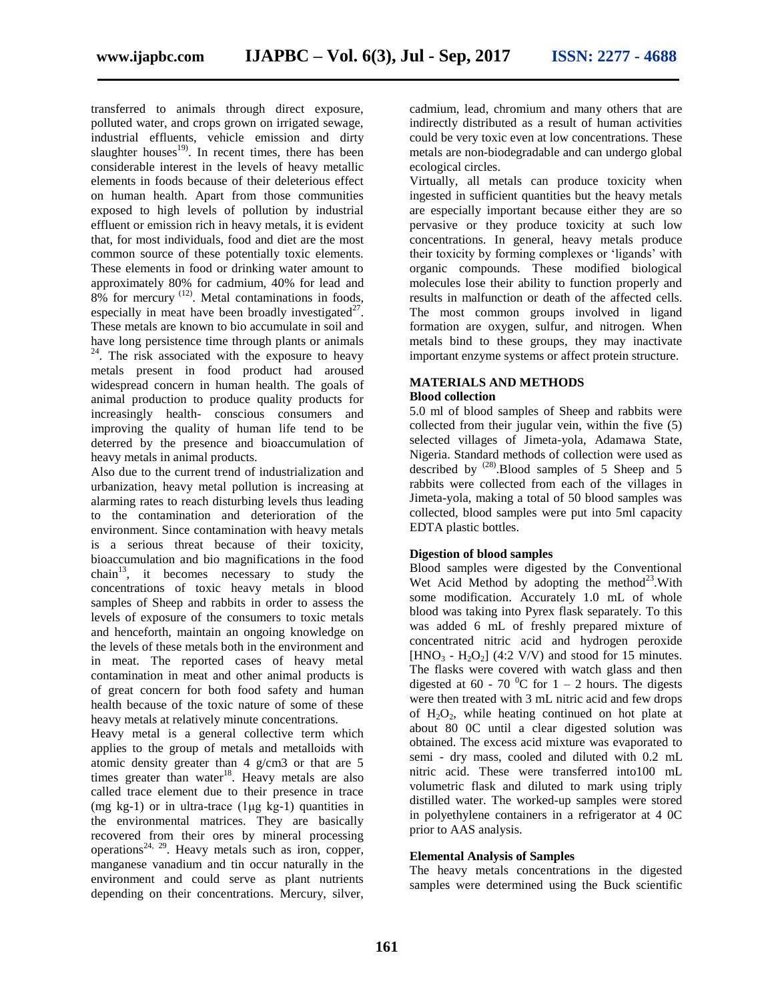transferred to animals through direct exposure, polluted water, and crops grown on irrigated sewage, industrial effluents, vehicle emission and dirty slaughter houses $19$ . In recent times, there has been considerable interest in the levels of heavy metallic elements in foods because of their deleterious effect on human health. Apart from those communities exposed to high levels of pollution by industrial effluent or emission rich in heavy metals, it is evident that, for most individuals, food and diet are the most common source of these potentially toxic elements. These elements in food or drinking water amount to approximately 80% for cadmium, 40% for lead and  $8\%$  for mercury  $(12)$ . Metal contaminations in foods, especially in meat have been broadly investigated<sup>27</sup>. These metals are known to bio accumulate in soil and have long persistence time through plants or animals  $24$ . The risk associated with the exposure to heavy metals present in food product had aroused widespread concern in human health. The goals of animal production to produce quality products for increasingly health- conscious consumers and improving the quality of human life tend to be deterred by the presence and bioaccumulation of heavy metals in animal products.

Also due to the current trend of industrialization and urbanization, heavy metal pollution is increasing at alarming rates to reach disturbing levels thus leading to the contamination and deterioration of the environment. Since contamination with heavy metals is a serious threat because of their toxicity, bioaccumulation and bio magnifications in the food chain<sup>13</sup>, it becomes necessary to study the concentrations of toxic heavy metals in blood samples of Sheep and rabbits in order to assess the levels of exposure of the consumers to toxic metals and henceforth, maintain an ongoing knowledge on the levels of these metals both in the environment and in meat. The reported cases of heavy metal contamination in meat and other animal products is of great concern for both food safety and human health because of the toxic nature of some of these heavy metals at relatively minute concentrations.

Heavy metal is a general collective term which applies to the group of metals and metalloids with atomic density greater than 4 g/cm3 or that are 5 times greater than water $18$ . Heavy metals are also called trace element due to their presence in trace (mg kg-1) or in ultra-trace  $(1\mu g \text{ kg-1})$  quantities in the environmental matrices. They are basically recovered from their ores by mineral processing operations<sup>24, 29</sup>. Heavy metals such as iron, copper, manganese vanadium and tin occur naturally in the environment and could serve as plant nutrients depending on their concentrations. Mercury, silver,

cadmium, lead, chromium and many others that are indirectly distributed as a result of human activities could be very toxic even at low concentrations. These metals are non-biodegradable and can undergo global ecological circles.

Virtually, all metals can produce toxicity when ingested in sufficient quantities but the heavy metals are especially important because either they are so pervasive or they produce toxicity at such low concentrations. In general, heavy metals produce their toxicity by forming complexes or 'ligands' with organic compounds. These modified biological molecules lose their ability to function properly and results in malfunction or death of the affected cells. The most common groups involved in ligand formation are oxygen, sulfur, and nitrogen. When metals bind to these groups, they may inactivate important enzyme systems or affect protein structure.

#### **MATERIALS AND METHODS Blood collection**

5.0 ml of blood samples of Sheep and rabbits were collected from their jugular vein, within the five (5) selected villages of Jimeta-yola, Adamawa State, Nigeria. Standard methods of collection were used as described by <sup>(28)</sup>. Blood samples of 5 Sheep and 5 rabbits were collected from each of the villages in Jimeta-yola, making a total of 50 blood samples was collected, blood samples were put into 5ml capacity EDTA plastic bottles.

## **Digestion of blood samples**

Blood samples were digested by the Conventional Wet Acid Method by adopting the method<sup>23</sup>. With some modification. Accurately 1.0 mL of whole blood was taking into Pyrex flask separately. To this was added 6 mL of freshly prepared mixture of concentrated nitric acid and hydrogen peroxide  $[HNO<sub>3</sub> - H<sub>2</sub>O<sub>2</sub>]$  (4:2 V/V) and stood for 15 minutes. The flasks were covered with watch glass and then digested at 60 - 70 <sup>0</sup>C for 1 – 2 hours. The digests were then treated with 3 mL nitric acid and few drops of  $H_2O_2$ , while heating continued on hot plate at about 80 0C until a clear digested solution was obtained. The excess acid mixture was evaporated to semi - dry mass, cooled and diluted with 0.2 mL nitric acid. These were transferred into100 mL volumetric flask and diluted to mark using triply distilled water. The worked-up samples were stored in polyethylene containers in a refrigerator at 4 0C prior to AAS analysis.

## **Elemental Analysis of Samples**

The heavy metals concentrations in the digested samples were determined using the Buck scientific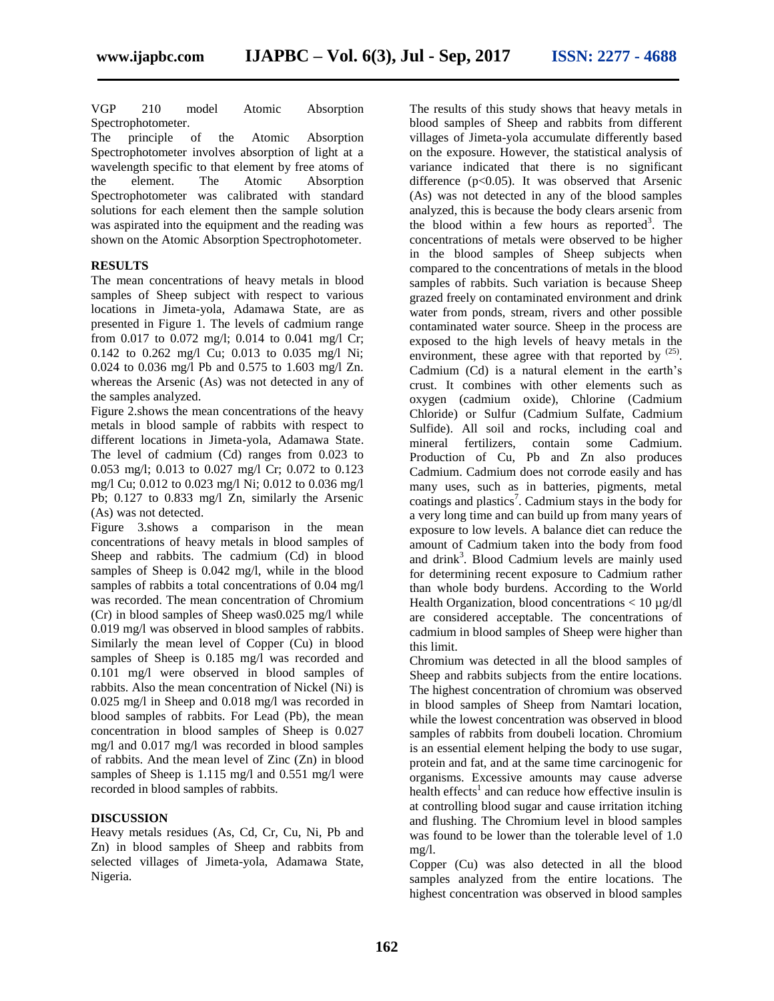VGP 210 model Atomic Absorption Spectrophotometer.

The principle of the Atomic Absorption Spectrophotometer involves absorption of light at a wavelength specific to that element by free atoms of the element. The Atomic Absorption Spectrophotometer was calibrated with standard solutions for each element then the sample solution was aspirated into the equipment and the reading was shown on the Atomic Absorption Spectrophotometer.

## **RESULTS**

The mean concentrations of heavy metals in blood samples of Sheep subject with respect to various locations in Jimeta-yola, Adamawa State, are as presented in Figure 1. The levels of cadmium range from 0.017 to 0.072 mg/l; 0.014 to 0.041 mg/l Cr; 0.142 to 0.262 mg/l Cu; 0.013 to 0.035 mg/l Ni; 0.024 to 0.036 mg/l Pb and 0.575 to 1.603 mg/l Zn. whereas the Arsenic (As) was not detected in any of the samples analyzed.

Figure 2.shows the mean concentrations of the heavy metals in blood sample of rabbits with respect to different locations in Jimeta-yola, Adamawa State. The level of cadmium (Cd) ranges from 0.023 to 0.053 mg/l; 0.013 to 0.027 mg/l Cr; 0.072 to 0.123 mg/l Cu; 0.012 to 0.023 mg/l Ni; 0.012 to 0.036 mg/l Pb; 0.127 to 0.833 mg/l Zn, similarly the Arsenic (As) was not detected.

Figure 3.shows a comparison in the mean concentrations of heavy metals in blood samples of Sheep and rabbits. The cadmium (Cd) in blood samples of Sheep is 0.042 mg/l, while in the blood samples of rabbits a total concentrations of 0.04 mg/l was recorded. The mean concentration of Chromium (Cr) in blood samples of Sheep was0.025 mg/l while 0.019 mg/l was observed in blood samples of rabbits. Similarly the mean level of Copper (Cu) in blood samples of Sheep is 0.185 mg/l was recorded and 0.101 mg/l were observed in blood samples of rabbits. Also the mean concentration of Nickel (Ni) is 0.025 mg/l in Sheep and 0.018 mg/l was recorded in blood samples of rabbits. For Lead (Pb), the mean concentration in blood samples of Sheep is 0.027 mg/l and 0.017 mg/l was recorded in blood samples of rabbits. And the mean level of Zinc (Zn) in blood samples of Sheep is 1.115 mg/l and 0.551 mg/l were recorded in blood samples of rabbits.

## **DISCUSSION**

Heavy metals residues (As, Cd, Cr, Cu, Ni, Pb and Zn) in blood samples of Sheep and rabbits from selected villages of Jimeta-yola, Adamawa State, Nigeria.

The results of this study shows that heavy metals in blood samples of Sheep and rabbits from different villages of Jimeta-yola accumulate differently based on the exposure. However, the statistical analysis of variance indicated that there is no significant difference (p<0.05). It was observed that Arsenic (As) was not detected in any of the blood samples analyzed, this is because the body clears arsenic from the blood within a few hours as reported<sup>3</sup>. The concentrations of metals were observed to be higher in the blood samples of Sheep subjects when compared to the concentrations of metals in the blood samples of rabbits. Such variation is because Sheep grazed freely on contaminated environment and drink water from ponds, stream, rivers and other possible contaminated water source. Sheep in the process are exposed to the high levels of heavy metals in the environment, these agree with that reported by  $(25)$ . Cadmium (Cd) is a natural element in the earth's crust. It combines with other elements such as oxygen (cadmium oxide), Chlorine (Cadmium Chloride) or Sulfur (Cadmium Sulfate, Cadmium Sulfide). All soil and rocks, including coal and mineral fertilizers, contain some Cadmium. Production of Cu, Pb and Zn also produces Cadmium. Cadmium does not corrode easily and has many uses, such as in batteries, pigments, metal coatings and plastics<sup>7</sup>. Cadmium stays in the body for a very long time and can build up from many years of exposure to low levels. A balance diet can reduce the amount of Cadmium taken into the body from food and drink<sup>3</sup>. Blood Cadmium levels are mainly used for determining recent exposure to Cadmium rather than whole body burdens. According to the World Health Organization, blood concentrations  $< 10 \mu$ g/dl are considered acceptable. The concentrations of cadmium in blood samples of Sheep were higher than this limit.

Chromium was detected in all the blood samples of Sheep and rabbits subjects from the entire locations. The highest concentration of chromium was observed in blood samples of Sheep from Namtari location, while the lowest concentration was observed in blood samples of rabbits from doubeli location. Chromium is an essential element helping the body to use sugar, protein and fat, and at the same time carcinogenic for organisms. Excessive amounts may cause adverse health effects<sup>1</sup> and can reduce how effective insulin is at controlling blood sugar and cause irritation itching and flushing. The Chromium level in blood samples was found to be lower than the tolerable level of 1.0 mg/l.

Copper (Cu) was also detected in all the blood samples analyzed from the entire locations. The highest concentration was observed in blood samples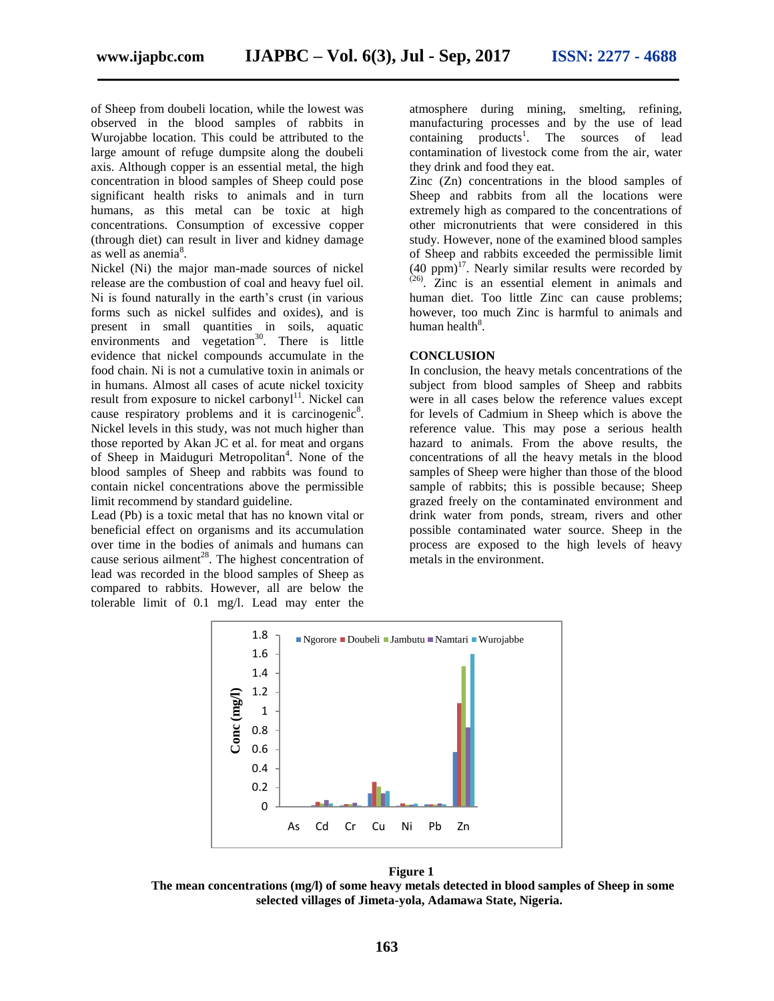of Sheep from doubeli location, while the lowest was observed in the blood samples of rabbits in Wurojabbe location. This could be attributed to the large amount of refuge dumpsite along the doubeli axis. Although copper is an essential metal, the high concentration in blood samples of Sheep could pose significant health risks to animals and in turn humans, as this metal can be toxic at high concentrations. Consumption of excessive copper (through diet) can result in liver and kidney damage as well as anemia $8$ .

Nickel (Ni) the major man-made sources of nickel release are the combustion of coal and heavy fuel oil. Ni is found naturally in the earth's crust (in various forms such as nickel sulfides and oxides), and is present in small quantities in soils, aquatic environments and vegetation<sup>30</sup>. There is little evidence that nickel compounds accumulate in the food chain. Ni is not a cumulative toxin in animals or in humans. Almost all cases of acute nickel toxicity result from exposure to nickel carbony $l<sup>11</sup>$ . Nickel can cause respiratory problems and it is carcinogenic<sup>8</sup>. Nickel levels in this study, was not much higher than those reported by Akan JC et al. for meat and organs of Sheep in Maiduguri Metropolitan<sup>4</sup>. None of the blood samples of Sheep and rabbits was found to contain nickel concentrations above the permissible limit recommend by standard guideline.

Lead (Pb) is a toxic metal that has no known vital or beneficial effect on organisms and its accumulation over time in the bodies of animals and humans can cause serious ailment<sup>28</sup>. The highest concentration of lead was recorded in the blood samples of Sheep as compared to rabbits. However, all are below the tolerable limit of 0.1 mg/l. Lead may enter the atmosphere during mining, smelting, refining, manufacturing processes and by the use of lead  $\text{contains}$  products<sup>1</sup>. The sources of lead contamination of livestock come from the air, water they drink and food they eat.

Zinc (Zn) concentrations in the blood samples of Sheep and rabbits from all the locations were extremely high as compared to the concentrations of other micronutrients that were considered in this study. However, none of the examined blood samples of Sheep and rabbits exceeded the permissible limit  $(40 \text{ ppm})^{17}$ . Nearly similar results were recorded by (26) . Zinc is an essential element in animals and human diet. Too little Zinc can cause problems; however, too much Zinc is harmful to animals and human health<sup>8</sup>.

#### **CONCLUSION**

In conclusion, the heavy metals concentrations of the subject from blood samples of Sheep and rabbits were in all cases below the reference values except for levels of Cadmium in Sheep which is above the reference value. This may pose a serious health hazard to animals. From the above results, the concentrations of all the heavy metals in the blood samples of Sheep were higher than those of the blood sample of rabbits; this is possible because; Sheep grazed freely on the contaminated environment and drink water from ponds, stream, rivers and other possible contaminated water source. Sheep in the process are exposed to the high levels of heavy metals in the environment.



**Figure 1 The mean concentrations (mg/l) of some heavy metals detected in blood samples of Sheep in some selected villages of Jimeta-yola, Adamawa State, Nigeria.**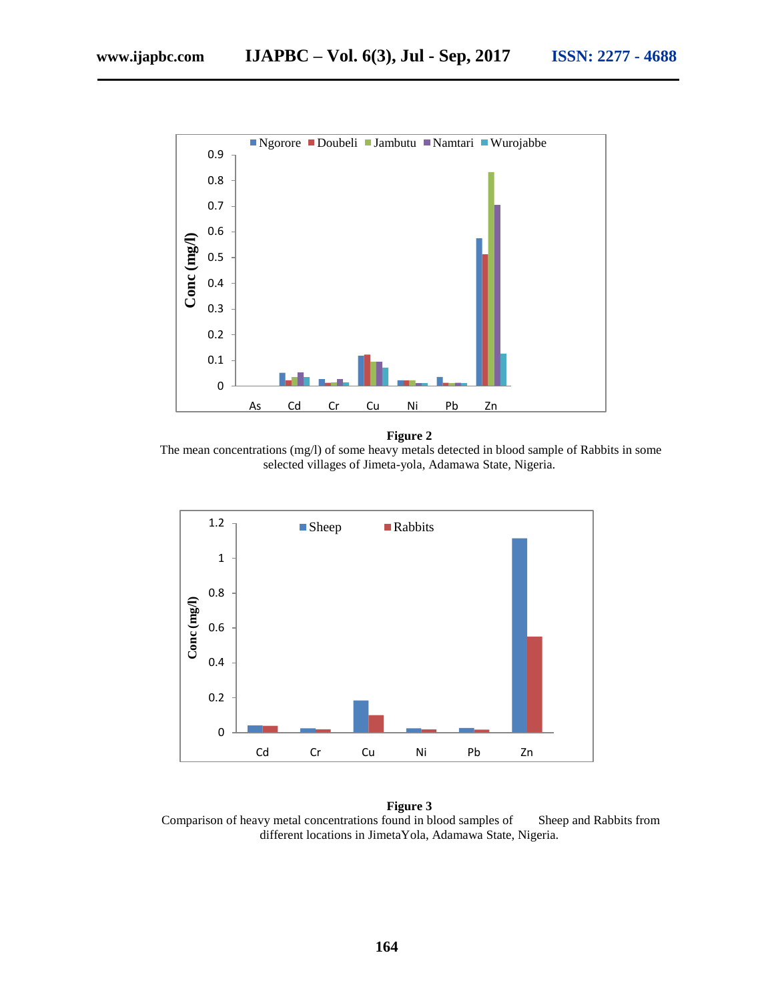

**Figure 2**

The mean concentrations (mg/l) of some heavy metals detected in blood sample of Rabbits in some selected villages of Jimeta-yola, Adamawa State, Nigeria.



**Figure 3** Comparison of heavy metal concentrations found in blood samples of Sheep and Rabbits from different locations in JimetaYola, Adamawa State, Nigeria.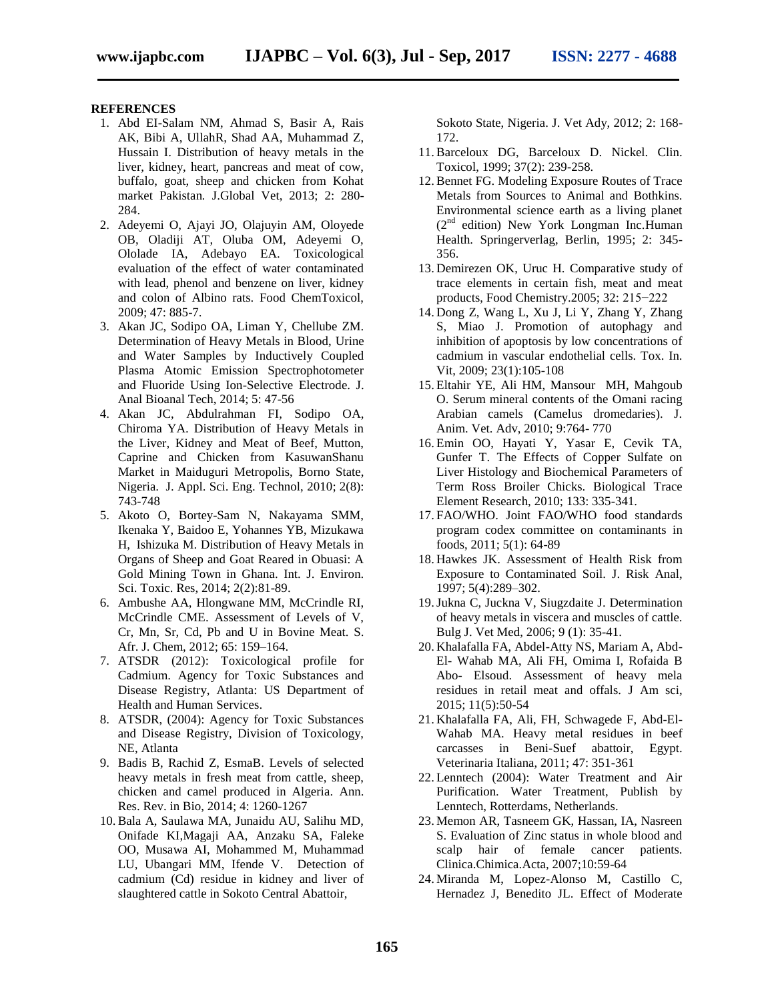#### **REFERENCES**

- 1. Abd EI-Salam NM, Ahmad S, Basir A, Rais AK, Bibi A, UllahR, Shad AA, Muhammad Z, Hussain I. Distribution of heavy metals in the liver, kidney, heart, pancreas and meat of cow, buffalo, goat, sheep and chicken from Kohat market Pakistan*.* J.Global Vet, 2013; 2: 280- 284.
- 2. Adeyemi O, Ajayi JO, Olajuyin AM, Oloyede OB, Oladiji AT, Oluba OM, Adeyemi O, Ololade IA, Adebayo EA. Toxicological evaluation of the effect of water contaminated with lead, phenol and benzene on liver, kidney and colon of Albino rats. Food ChemToxicol, 2009; 47: 885-7.
- 3. Akan JC, Sodipo OA, Liman Y, Chellube ZM. Determination of Heavy Metals in Blood, Urine and Water Samples by Inductively Coupled Plasma Atomic Emission Spectrophotometer and Fluoride Using Ion-Selective Electrode. J. Anal Bioanal Tech, 2014; 5: 47-56
- 4. Akan JC, Abdulrahman FI, Sodipo OA, Chiroma YA. Distribution of Heavy Metals in the Liver, Kidney and Meat of Beef, Mutton, Caprine and Chicken from KasuwanShanu Market in Maiduguri Metropolis, Borno State, Nigeria. J. Appl. Sci. Eng. Technol, 2010; 2(8): 743-748
- 5. Akoto O, Bortey-Sam N, Nakayama SMM, Ikenaka Y, Baidoo E, Yohannes YB, Mizukawa H, Ishizuka M. Distribution of Heavy Metals in Organs of Sheep and Goat Reared in Obuasi: A Gold Mining Town in Ghana. Int. J. Environ. Sci. Toxic. Res, 2014; 2(2):81-89.
- 6. Ambushe AA, Hlongwane MM, McCrindle RI, McCrindle CME. Assessment of Levels of V, Cr, Mn, Sr, Cd, Pb and U in Bovine Meat. S. Afr. J. Chem, 2012; 65: 159–164.
- 7. ATSDR (2012): Toxicological profile for Cadmium. Agency for Toxic Substances and Disease Registry, Atlanta: US Department of Health and Human Services.
- 8. ATSDR, (2004): Agency for Toxic Substances and Disease Registry, Division of Toxicology, NE, Atlanta
- 9. Badis B, Rachid Z, EsmaB. Levels of selected heavy metals in fresh meat from cattle, sheep, chicken and camel produced in Algeria. Ann. Res. Rev. in Bio, 2014; 4: 1260-1267
- 10. Bala A, Saulawa MA, Junaidu AU, Salihu MD, Onifade KI,Magaji AA, Anzaku SA, Faleke OO, Musawa AI, Mohammed M, Muhammad LU, Ubangari MM, Ifende V. Detection of cadmium (Cd) residue in kidney and liver of slaughtered cattle in Sokoto Central Abattoir,

Sokoto State, Nigeria. J. Vet Ady, 2012; 2: 168- 172.

- 11. Barceloux DG, Barceloux D. Nickel. Clin. Toxicol, 1999; 37(2): 239-258.
- 12. Bennet FG. Modeling Exposure Routes of Trace Metals from Sources to Animal and Bothkins. Environmental science earth as a living planet  $(2^{nd}$  edition) New York Longman Inc. Human Health. Springerverlag, Berlin, 1995; 2: 345- 356.
- 13. Demirezen OK, Uruc H. Comparative study of trace elements in certain fish, meat and meat products, Food Chemistry.2005; 32: 215−222
- 14. Dong Z, Wang L, Xu J, Li Y, Zhang Y, Zhang S, Miao J. Promotion of autophagy and inhibition of apoptosis by low concentrations of cadmium in vascular endothelial cells. Tox. In. Vit, 2009; 23(1):105-108
- 15. Eltahir YE, Ali HM, Mansour MH, Mahgoub O. Serum mineral contents of the Omani racing Arabian camels (Camelus dromedaries). J. Anim. Vet. Adv, 2010; 9:764- 770
- 16. Emin OO, Hayati Y, Yasar E, Cevik TA, Gunfer T. The Effects of Copper Sulfate on Liver Histology and Biochemical Parameters of Term Ross Broiler Chicks. Biological Trace Element Research, 2010; 133: 335-341.
- 17. FAO/WHO. Joint FAO/WHO food standards program codex committee on contaminants in foods, 2011; 5(1): 64-89
- 18. Hawkes JK. Assessment of Health Risk from Exposure to Contaminated Soil. J. Risk Anal, 1997; 5(4):289–302.
- 19.Jukna C, Juckna V, Siugzdaite J. Determination of heavy metals in viscera and muscles of cattle. Bulg J. Vet Med, 2006; 9 (1): 35-41.
- 20. Khalafalla FA, Abdel-Atty NS, Mariam A, Abd-El- Wahab MA, Ali FH, Omima I, Rofaida B Abo- Elsoud. Assessment of heavy mela residues in retail meat and offals. J Am sci, 2015; 11(5):50-54
- 21. Khalafalla FA, Ali, FH, Schwagede F, Abd-El-Wahab MA. Heavy metal residues in beef carcasses in Beni-Suef abattoir, Egypt. Veterinaria Italiana, 2011; 47: 351-361
- 22. Lenntech (2004): Water Treatment and Air Purification. Water Treatment, Publish by Lenntech, Rotterdams, Netherlands.
- 23. Memon AR, Tasneem GK, Hassan, IA, Nasreen S. Evaluation of Zinc status in whole blood and scalp hair of female cancer patients. Clinica.Chimica.Acta*,* 2007;10:59-64
- 24. Miranda M, Lopez-Alonso M, Castillo C, Hernadez J, Benedito JL. Effect of Moderate